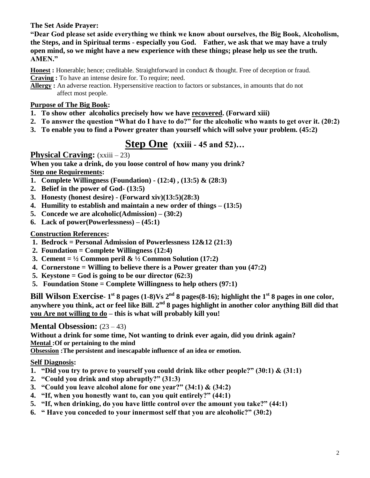#### **The Set Aside Prayer:**

**"Dear God please set aside everything we think we know about ourselves, the Big Book, Alcoholism, the Steps, and in Spiritual terms - especially you God. Father, we ask that we may have a truly open mind, so we might have a new experience with these things; please help us see the truth. AMEN."**

**Honest :** Honerable; hence; creditable. Straightforward in conduct & thought. Free of deception or fraud. **Craving :** To have an intense desire for. To require; need.

**Allergy :** An adverse reaction. Hypersensitive reaction to factors or substances, in amounts that do not affect most people.

#### **Purpose of The Big Book:**

- **1. To show other alcoholics precisely how we have recovered. (Forward xiii)**
- **2. To answer the question "What do I have to do?" for the alcoholic who wants to get over it. (20:2)**
- **3. To enable you to find a Power greater than yourself which will solve your problem. (45:2)**

## **Step One (xxiii - 45 and 52)…**

**Physical Craving:**  $(xxiii - 23)$ 

**When you take a drink, do you loose control of how many you drink? Step one Requirements:**

- **1. Complete Willingness (Foundation) - (12:4) , (13:5) & (28:3)**
- **2. Belief in the power of God- (13:5)**
- **3. Honesty (honest desire) - (Forward xiv)(13:5)(28:3)**
- **4. Humility to establish and maintain a new order of things – (13:5)**
- **5. Concede we are alcoholic(Admission) – (30:2)**
- **6. Lack of power(Powerlessness) – (45:1)**

#### **Construction References:**

- **1. Bedrock = Personal Admission of Powerlessness 12&12 (21:3)**
- **2. Foundation = Complete Willingness (12:4)**
- **3.** Cement =  $\frac{1}{2}$  Common peril &  $\frac{1}{2}$  Common Solution (17:2)
- **4. Cornerstone = Willing to believe there is a Power greater than you (47:2)**
- **5. Keystone = God is going to be our director (62:3)**
- **5. Foundation Stone = Complete Willingness to help others (97:1)**

**Bill Wilson Exercise- 1 st 8 pages (1-8)Vs 2nd 8 pages(8-16); highlight the 1st 8 pages in one color, anywhere you think, act or feel like Bill. 2nd 8 pages highlight in another color anything Bill did that you Are not willing to do – this is what will probably kill you!**

#### **Mental Obsession:**  $(23 - 43)$

**Without a drink for some time, Not wanting to drink ever again, did you drink again? Mental :Of or pertaining to the mind**

**Obsession :The persistent and inescapable influence of an idea or emotion.**

#### **Self Diagnosis:**

- **1. "Did you try to prove to yourself you could drink like other people?" (30:1) & (31:1)**
- **2. "Could you drink and stop abruptly?" (31:3)**
- **3. "Could you leave alcohol alone for one year?" (34:1) & (34:2)**
- **4. "If, when you honestly want to, can you quit entirely?" (44:1)**
- **5. "If, when drinking, do you have little control over the amount you take?" (44:1)**
- **6. " Have you conceded to your innermost self that you are alcoholic?" (30:2)**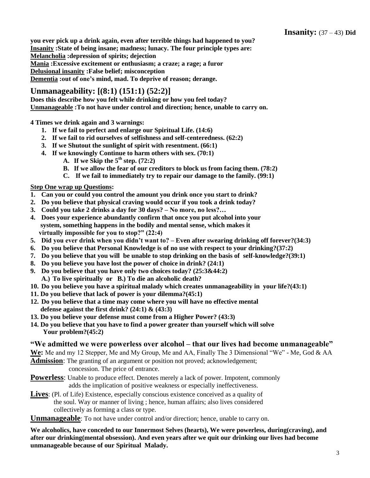**you ever pick up a drink again, even after terrible things had happened to you? Insanity :State of being insane; madness; lunacy. The four principle types are: Melancholia :depression of spirits; dejection Mania :Excessive excitement or enthusiasm; a craze; a rage; a furor Delusional insanity :False belief; misconception Dementia :out of one's mind, mad. To deprive of reason; derange.** 

#### **Unmanageability: [(8:1) (151:1) (52:2)]**

**Does this describe how you felt while drinking or how you feel today? Unmanageable :To not have under control and direction; hence, unable to carry on.** 

**4 Times we drink again and 3 warnings:** 

- **1. If we fail to perfect and enlarge our Spiritual Life. (14:6)**
- **2. If we fail to rid ourselves of selfishness and self-centeredness. (62:2)**
- **3. If we Shutout the sunlight of spirit with resentment. (66:1)**
- **4. If we knowingly Continue to harm others with sex. (70:1)**
	- A. If we Skip the  $5<sup>th</sup>$  step. (72:2)
	- **B. If we allow the fear of our creditors to block us from facing them. (78:2)**
	- **C. If we fail to immediately try to repair our damage to the family. (99:1)**

#### **Step One wrap up Questions:**

- **1. Can you or could you control the amount you drink once you start to drink?**
- **2. Do you believe that physical craving would occur if you took a drink today?**
- **3. Could you take 2 drinks a day for 30 days? – No more, no less?…**
- **4. Does your experience abundantly confirm that once you put alcohol into your system, something happens in the bodily and mental sense, which makes it virtually impossible for you to stop?" (22:4)**
- **5. Did you ever drink when you didn't want to? – Even after swearing drinking off forever?(34:3)**
- **6. Do you believe that Personal Knowledge is of no use with respect to your drinking?(37:2)**
- **7. Do you believe that you will be unable to stop drinking on the basis of self-knowledge?(39:1)**
- **8. Do you believe you have lost the power of choice in drink? (24:1)**
- **9. Do you believe that you have only two choices today? (25:3&44:2) A.) To live spiritually or B.) To die an alcoholic death?**
- **10. Do you believe you have a spiritual malady which creates unmanageability in your life?(43:1)**
- **11. Do you believe that lack of power is your dilemma?(45:1)**
- **12. Do you believe that a time may come where you will have no effective mental defense against the first drink? (24:1) & (43:3)**
- **13. Do you believe your defense must come from a Higher Power? (43:3)**
- **14. Do you believe that you have to find a power greater than yourself which will solve Your problem?(45:2)**

#### **"We admitted we were powerless over alcohol – that our lives had become unmanageable"**

**We:** Me and my 12 Stepper, Me and My Group, Me and AA, Finally The 3 Dimensional "We" - Me, God & AA

- **Admission**: The granting of an argument or position not proved; acknowledgement; concession. The price of entrance.
- **Powerless**: Unable to produce effect. Denotes merely a lack of power. Impotent, commonly adds the implication of positive weakness or especially ineffectiveness.
- **Lives**: (Pl. of Life) Existence, especially conscious existence conceived as a quality of the soul. Way or manner of living ; hence, human affairs; also lives considered collectively as forming a class or type.

**Unmanageable**: To not have under control and/or direction; hence, unable to carry on.

**We alcoholics, have conceded to our Innermost Selves (hearts), We were powerless, during(craving), and after our drinking(mental obsession). And even years after we quit our drinking our lives had become unmanageable because of our Spiritual Malady.**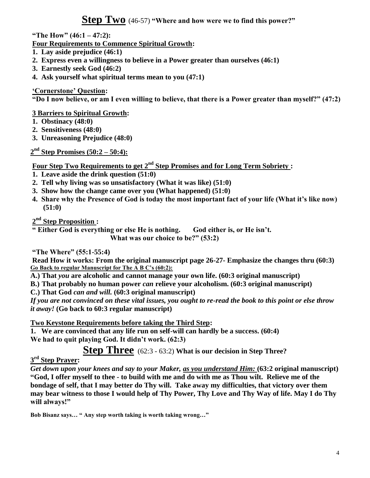**Step Two** (46-57) **"Where and how were we to find this power?"**

**"The How" (46:1 – 47:2):**

**Four Requirements to Commence Spiritual Growth:**

- **1. Lay aside prejudice (46:1)**
- **2. Express even a willingness to believe in a Power greater than ourselves (46:1)**
- **3. Earnestly seek God (46:2)**
- **4. Ask yourself what spiritual terms mean to you (47:1)**

#### **'Cornerstone' Question:**

**"Do I now believe, or am I even willing to believe, that there is a Power greater than myself?" (47:2)**

#### **3 Barriers to Spiritual Growth:**

- **1. Obstinacy (48:0)**
- **2. Sensitiveness (48:0)**
- **3. Unreasoning Prejudice (48:0)**

**2 nd Step Promises (50:2 – 50:4):**

**Four Step Two Requirements to get 2nd Step Promises and for Long Term Sobriety :**

- **1. Leave aside the drink question (51:0)**
- **2. Tell why living was so unsatisfactory (What it was like) (51:0)**
- **3. Show how the change came over you (What happened) (51:0)**
- **4. Share why the Presence of God is today the most important fact of your life (What it's like now) (51:0)**

**2 nd Step Proposition :**

**" Either God is everything or else He is nothing. God either is, or He isn't. What was our choice to be?" (53:2)**

**"The Where" (55:1-55:4)**

**Read How it works: From the original manuscript page 26-27- Emphasize the changes thru (60:3) Go Back to regular Manuscript for The A B C's (60:2):**

**A.) That** *you* **are alcoholic and cannot manage your own life. (60:3 original manuscript)**

**B.) That probably no human power** *can* **relieve your alcoholism. (60:3 original manuscript)**

**C.) That God** *can and will.* **(60:3 original manuscript)**

*If you are not convinced on these vital issues, you ought to re-read the book to this point or else throw it away!* **(Go back to 60:3 regular manuscript)**

**Two Keystone Requirements before taking the Third Step:**

**1. We are convinced that any life run on self-will can hardly be a success. (60:4) We had to quit playing God. It didn't work. (62:3)**

**Step Three** (62:3 - 63:2) **What is our decision in Step Three?**

### **3 rd Step Prayer:**

*Get down upon your knees and say to your Maker, as you understand Him:* **(63:2 original manuscript) "God, I offer myself to thee - to build with me and do with me as Thou wilt. Relieve me of the bondage of self, that I may better do Thy will. Take away my difficulties, that victory over them may bear witness to those I would help of Thy Power, Thy Love and Thy Way of life. May I do Thy will always!"** 

**Bob Bisanz says… " Any step worth taking is worth taking wrong…"**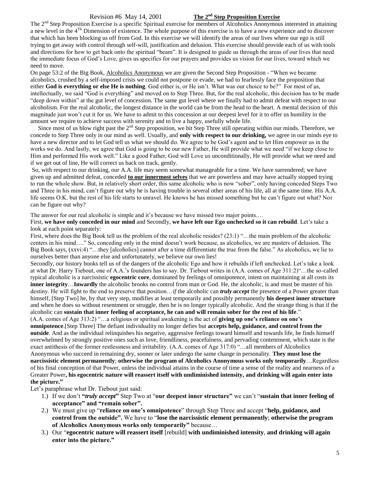#### Revision #6 May 14, 2001 **The 2nd Step Proposition Exercise**

The  $2<sup>nd</sup>$  Step Proposition Exercise is a specific Spiritual exercise for members of Alcoholics Anonymous interested in attaining a new level in the 4Th Dimension of existence. The whole purpose of this exercise is to have a new experience and to discover that which has been blocking us off from God. In this exercise we will identify the areas of our lives where our ego is still trying to get away with control through self-will, justification and delusion. This exercise should provide each of us with tools and directions for how to get back onto the spiritual "beam". It is designed to guide us through the areas of our lives that need the immediate focus of God's Love, gives us specifics for our prayers and provides us vision for our lives, toward which we need to move.

On page 53:2 of the Big Book, Alcoholics Anonymous we are given the Second Step Proposition - "When we became alcoholics, crushed by a self-imposed crisis we could not postpone or evade, we had to fearlessly face the proposition that either **God is everything or else He is nothing**. God either is, or He isn't. What was our choice to be?" For most of us, intellectually, we said "God is everything" and moved on to Step Three. But, for the real alcoholic, this decision has to be made "deep down within" at the gut level of concession. The same gut level where we finally had to admit defeat with respect to our alcoholism. For the real alcoholic, the longest distance in the world can be from the head to the heart. A mental decision of this magnitude just won't cut it for us. We have to admit to this concession at our deepest level for it to offer us humility in the amount we require to achieve success with serenity and to live a happy, usefully whole life.

Since most of us blow right past the  $2<sup>nd</sup>$  Step proposition, we hit Step Three still operating within our minds. Therefore, we concede to Step Three only in our mind as well. Usually, and **only with respect to our drinking,** we agree in our minds eye to have a new director and to let God tell us what we should do. We agree to be God's agent and to let Him empower us in the works we do. And lastly, we agree that God is going to be our new Father, He will provide what we need "if we keep close to Him and performed His work well." Like a good Father, God will Love us unconditionally, He will provide what we need and if we get out of line, He will correct us back on track, gently.

So, with respect to our drinking, our A.A. life may seem somewhat manageable for a time. We have surrendered; we have given up and admitted defeat, conceded **to our innermost selves** that we are powerless and may have actually stopped trying to run the whole show. But, in relatively short order, this same alcoholic who is now "sober", only having conceded Steps Two and Three in his mind, can't figure out why he is having trouble in several other areas of his life, all at the same time. His A.A. life seems O.K. but the rest of his life starts to unravel. He knows he has missed something but he can't figure out what? Nor can he figure out why?

The answer for our real alcoholic is simple and it's because we have missed two major points....

First, **we have only conceded in our mind** and Secondly, **we have left our Ego unchecked so it can rebuild**. Let's take a look at each point separately:

First, where does the Big Book tell us the problem of the real alcoholic resides? (23:1) "…the main problem of the alcoholic centers in his mind…." So, conceding only in the mind doesn't work because, as alcoholics, we are masters of delusion. The Big Book says, (xxvi:4) "…they [alcoholics] cannot after a time differentiate the true from the false." As alcoholics, we lie to ourselves better than anyone else and unfortunately, we believe our own lies!

Secondly, our history books tell us of the dangers of the alcoholic Ego and how it rebuilds if left unchecked. Let's take a look at what Dr. Harry Tiebout, one of A.A.'s founders has to say. Dr. Tiebout writes in (A.A. comes of Age 311:2)"…the so-called typical alcoholic is a narcissistic **egocentric core**, dominated by feelings of omnipotence, intent on maintaining at all costs its **inner integrity**…**Inwardly** the alcoholic brooks no control from man or God. He, the alcoholic, is and must be master of his destiny. He will fight to the end to preserve that position…*if* the alcoholic can *truly accept* the presence of a Power greater than himself, [Step Two] he, by that very step, modifies at least temporarily and possibly permanently **his deepest inner structure** and when he does so without resentment or struggle, then he is no longer typically alcoholic. And the strange thing is that if the alcoholic can **sustain that inner feeling of acceptance, he can and will remain sober for the rest of his life**."

(A.A. comes of Age 313:2) "…a religious or spiritual awakening is the act of **giving up one's reliance on one's omnipotence**.[Step Three] The defiant individuality no longer defies but **accepts help, guidance, and control from the outside**. And as the individual relinquishes his negative, aggressive feelings toward himself and towards life, he finds himself overwhelmed by strongly positive ones such as love, friendliness, peacefulness, and pervading contentment, which state is the exact antithesis of the former restlessness and irritability. (A.A. comes of Age 317:0) "…all members of Alcoholics Anonymous who succeed in remaining dry, sooner or later undergo the same change in personality. **They must lose the narcissistic element permanently**; **otherwise the program of Alcoholics Anonymous works only temporarily**…Regardless of his final conception of that Power, unless the individual attains in the course of time a sense of the reality and nearness of a Greater Power**, his egocentric nature will reassert itself with undiminished intensity, and drinking will again enter into the picture."**

Let's paraphrase what Dr. Tiebout just said:

- 1.) If we don't **"***truly accept***"** Step Two at "**our deepest inner structure"** we can't "**sustain that inner feeling of acceptance" and "remain sober".**
- 2.) We must give up "**reliance on one's omnipotence**" through Step Three and accept "**help, guidance, and control from the outside".** We have to "**lose the narcissistic element permanently**; **otherwise the program of Alcoholics Anonymous works only temporarily"** because…
- 3.) Our "**egocentric nature will reassert itself** [rebuild] **with undiminished intensity**, **and drinking will again enter into the picture."**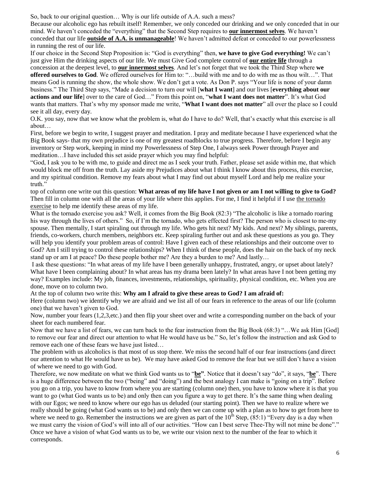So, back to our original question… Why is our life outside of A.A. such a mess?

Because our alcoholic ego has rebuilt itself! Remember, we only conceded our drinking and we only conceded that in our mind. We haven't conceded the "everything" that the Second Step requires to **our innermost selves**. We haven't conceded that our life **outside of A.A. is unmanageable**! We haven't admitted defeat or conceded to our powerlessness in running the rest of our life.

If our choice in the Second Step Proposition is: "God is everything" then, **we have to give God everything!** We can't just give Him the drinking aspects of our life. We must Give God complete control of **our entire life** through a concession at the deepest level, to **our innermost selves**. And let's not forget that we took the Third Step where **we offered ourselves to God**. We offered ourselves for Him to: "…build with me and to do with me as thou wilt…". That means God is running the show, the whole show. We don't get a vote. As Don P. says "Your life is none of your damn business." The Third Step says, "Made a decision to turn our will [**what I want**] and our lives [**everything about our actions and our life**] over to the care of God…" From this point on, "**what I want does not matter**". It's what God wants that matters. That's why my sponsor made me write, "**What I want does not matter**" all over the place so I could see it all day, every day.

O.K. you say, now that we know what the problem is, what do I have to do? Well, that's exactly what this exercise is all about…

First, before we begin to write, I suggest prayer and meditation. I pray and meditate because I have experienced what the Big Book says- that my own prejudice is one of my greatest roadblocks to true progress. Therefore, before I begin any inventory or Step work, keeping in mind my Powerlessness of Step One, I always seek Power through Prayer and meditation…I have included this set aside prayer which you may find helpful:

"God, I ask you to be with me, to guide and direct me as I seek your truth. Father, please set aside within me, that which would block me off from the truth. Lay aside my Prejudices about what I think I know about this process, this exercise, and my spiritual condition. Remove my fears about what I may find out about myself Lord and help me realize your truth."

top of column one write out this question: **What areas of my life have I not given or am I not willing to give to God?**  Then fill in column one with all the areas of your life where this applies. For me, I find it helpful if I use the tornado exercise to help me identify these areas of my life.

What is the tornado exercise you ask? Well, it comes from the Big Book (82:3) "The alcoholic is like a tornado roaring his way through the lives of others." So, if I'm the tornado, who gets effected first? The person who is closest to me-my spouse. Then mentally, I start spiraling out through my life. Who gets hit next? My kids. And next? My siblings, parents, friends, co-workers, church members, neighbors etc. Keep spiraling further out and ask these questions as you go. They will help you identify your problem areas of control: Have I given each of these relationships and their outcome over to God? Am I still trying to control these relationships? When I think of these people, does the hair on the back of my neck stand up or am I at peace? Do these people bother me? Are they a burden to me? And lastly…

I ask these questions: "In what areas of my life have I been generally unhappy, frustrated, angry, or upset about lately? What have I been complaining about? In what areas has my drama been lately? In what areas have I not been getting my way? Examples include: My job, finances, investments, relationships, spirituality, physical condition, etc. When you are done, move on to column two.

At the top of column two write this: **Why am I afraid to give these areas to God? I am afraid of:**

Here (column two) we identify why we are afraid and we list all of our fears in reference to the areas of our life (column one) that we haven't given to God.

Now, number your fears (1,2,3,etc.) and then flip your sheet over and write a corresponding number on the back of your sheet for each numbered fear.

Now that we have a list of fears, we can turn back to the fear instruction from the Big Book (68:3) "…We ask Him [God] to remove our fear and direct our attention to what He would have us be." So, let's follow the instruction and ask God to remove each one of these fears we have just listed…

The problem with us alcoholics is that most of us stop there. We miss the second half of our fear instructions (and direct our attention to what He would have us be). We may have asked God to remove the fear but we still don't have a vision of where we need to go with God.

Therefore, we now meditate on what we think God wants us to "**be"**. Notice that it doesn't say "do", it says, "**be**". There is a huge difference between the two ("being" and "doing") and the best analogy I can make is "going on a trip". Before you go on a trip, you have to know from where you are starting (column one) then, you have to know where it is that you want to go (what God wants us to be) and only then can you figure a way to get there. It's the same thing when dealing with our Egos; we need to know where our ego has us deluded (our starting point). Then we have to realize where we really should be going (what God wants us to be) and only then we can come up with a plan as to how to get from here to where we need to go. Remember the instructions we are given as part of the  $10^{th}$  Step, (85:1) "Every day is a day when we must carry the vision of God's will into all of our activities. "How can I best serve Thee-Thy will not mine be done"." Once we have a vision of what God wants us to be, we write our vision next to the number of the fear to which it corresponds.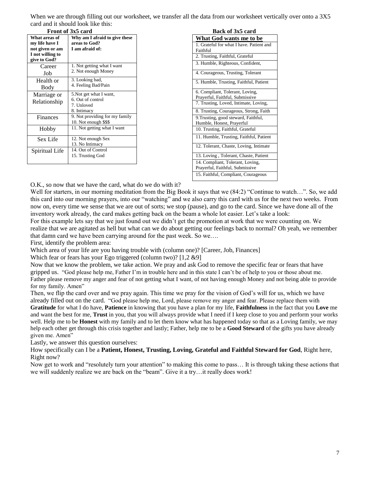When we are through filling out our worksheet, we transfer all the data from our worksheet vertically over onto a 3X5 card and it should look like this:

|                                   | cara ana n-shoara ioon mic uns.                            |                  |                                                                                                      |  |  |  |
|-----------------------------------|------------------------------------------------------------|------------------|------------------------------------------------------------------------------------------------------|--|--|--|
|                                   | Front of 3x5 card                                          | Back of 3x5 card |                                                                                                      |  |  |  |
| What areas of                     | Why am I afraid to give these                              |                  | What God wants me to                                                                                 |  |  |  |
| my life have I<br>not given or am | areas to God?<br>I am afraid of:                           |                  | 1. Grateful for what I have. Pat<br>Faithful                                                         |  |  |  |
| I not willing to<br>give to God?  |                                                            |                  | 2. Trusting, Faithful, Grateful                                                                      |  |  |  |
| Career                            | 1. Not getting what I want                                 |                  | 3. Humble, Righteous, Confide                                                                        |  |  |  |
| Job                               | 2. Not enough Money                                        |                  | 4. Courageous, Trusting, Tolera                                                                      |  |  |  |
| Health or<br>Body                 | 3. Looking bad,<br>4. Feeling Bad/Pain                     |                  | 5. Humble, Trusting, Faithful, 1                                                                     |  |  |  |
| Marriage or<br>Relationship       | 5. Not get what I want,<br>6. Out of control<br>7. Unloved |                  | 6. Compliant, Tolerant, Loving<br>Prayerful, Faithful, Submissive<br>7. Trusting, Loved, Intimate, L |  |  |  |
|                                   | 8. Intimacy                                                |                  | 8. Trusting, Courageous, Strong                                                                      |  |  |  |
| Finances                          | 9. Not providing for my family<br>10. Not enough \$\$\$    |                  | 9. Trusting, good steward, Faith<br>Humble, Honest, Prayerful                                        |  |  |  |
| Hobby                             | 11. Not getting what I want                                |                  | 10. Trusting, Faithful, Grateful                                                                     |  |  |  |
| Sex Life                          | 12. Not enough Sex<br>13. No Intimacy                      |                  | 11. Humble, Trusting, Faithful,                                                                      |  |  |  |
| Spiritual Life                    | 14. Out of Control                                         |                  | 12. Tolerant, Chaste, Loving, In                                                                     |  |  |  |
|                                   | 15. Trusting God                                           |                  | 13. Loving, Tolerant, Chaste, l                                                                      |  |  |  |
|                                   |                                                            |                  | 14 Compliant Tolerant Lovin                                                                          |  |  |  |

| Back of 3x5 card |                               |  |  |  |  |  |  |
|------------------|-------------------------------|--|--|--|--|--|--|
|                  | it God wants me to be         |  |  |  |  |  |  |
|                  | toful for what I have Dationt |  |  |  |  |  |  |

| What God wants me to be                  |
|------------------------------------------|
| 1. Grateful for what I have. Patient and |
| Faithful                                 |
| 2. Trusting, Faithful, Grateful          |
| 3. Humble, Righteous, Confident,         |
| 4. Courageous, Trusting, Tolerant        |
| 5. Humble, Trusting, Faithful, Patient   |
| 6. Compliant, Tolerant, Loving,          |
| Prayerful, Faithful, Submissive          |
| 7. Trusting, Loved, Intimate, Loving,    |
| 8. Trusting, Courageous, Strong, Faith   |
| 9. Trusting, good steward, Faithful,     |
| Humble, Honest, Prayerful                |
| 10. Trusting, Faithful, Grateful         |
| 11. Humble, Trusting, Faithful, Patient  |
| 12. Tolerant, Chaste, Loving, Intimate   |
| 13. Loving, Tolerant, Chaste, Patient    |
| 14. Compliant, Tolerant, Loving,         |
| Prayerful, Faithful, Submissive          |
| 15. Faithful, Compliant, Courageous      |

O.K., so now that we have the card, what do we do with it?

Well for starters, in our morning meditation from the Big Book it says that we (84:2) "Continue to watch...". So, we add this card into our morning prayers, into our "watching" and we also carry this card with us for the next two weeks. From now on, every time we sense that we are out of sorts; we stop (pause), and go to the card. Since we have done all of the inventory work already, the card makes getting back on the beam a whole lot easier. Let's take a look:

For this example lets say that we just found out we didn't get the promotion at work that we were counting on. We realize that we are agitated as hell but what can we do about getting our feelings back to normal? Oh yeah, we remember that damn card we have been carrying around for the past week. So we….

First, identify the problem area:

Which area of your life are you having trouble with (column one)? [Career, Job, Finances]

Which fear or fears has your Ego triggered (column two)? [1,2 &9]

Now that we know the problem, we take action. We pray and ask God to remove the specific fear or fears that have gripped us. "God please help me, Father I'm in trouble here and in this state I can't be of help to you or those about me. Father please remove my anger and fear of not getting what I want, of not having enough Money and not being able to provide for my family. Amen"

Then, we flip the card over and we pray again. This time we pray for the vision of God's will for us, which we have already filled out on the card. "God please help me, Lord, please remove my anger and fear. Please replace them with **Gratitude** for what I do have, **Patience** in knowing that you have a plan for my life, **Faithfulness** in the fact that you **Love** me and want the best for me, **Trust** in you, that you will always provide what I need if I keep close to you and perform your works well. Help me to be **Honest** with my family and to let them know what has happened today so that as a Loving family, we may help each other get through this crisis together and lastly; Father, help me to be a **Good Steward** of the gifts you have already given me. Amen"

Lastly, we answer this question ourselves:

How specifically can I be a **Patient, Honest, Trusting, Loving, Grateful and Faithful Steward for God**, Right here, Right now?

Now get to work and "resolutely turn your attention" to making this come to pass… It is through taking these actions that we will suddenly realize we are back on the "beam". Give it a try…it really does work!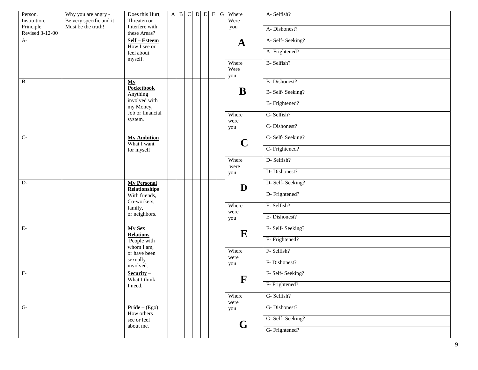| Person,<br>Institution,<br>Principle | Why you are angry -<br>Be very specific and it<br>Must be the truth! | Does this Hurt,<br>Threaten or<br>Interfere with |  | $A$ $B$ | $C$ $D$ $E$ $F$ |  | $\overline{G}$ |                | Where<br>Were<br>you | A-Selfish?          |
|--------------------------------------|----------------------------------------------------------------------|--------------------------------------------------|--|---------|-----------------|--|----------------|----------------|----------------------|---------------------|
| <b>Revised 3-12-00</b>               |                                                                      | these Areas?                                     |  |         |                 |  |                |                |                      | A-Dishonest?        |
| $A-$                                 |                                                                      | Self - Esteem<br>How I see or                    |  |         |                 |  |                |                | $\mathbf A$          | A- Self- Seeking?   |
|                                      |                                                                      | feel about<br>myself.                            |  |         |                 |  |                |                |                      | A-Frightened?       |
|                                      |                                                                      |                                                  |  |         |                 |  |                |                | Where<br>Were<br>you | B-Selfish?          |
| $B-$                                 |                                                                      | My<br><b>Pocketbook</b>                          |  |         |                 |  |                |                |                      | <b>B-Dishonest?</b> |
|                                      |                                                                      | Anything                                         |  |         |                 |  |                |                | B                    | B- Self- Seeking?   |
|                                      |                                                                      | involved with<br>my Money,                       |  |         |                 |  |                |                |                      | B- Frightened?      |
|                                      |                                                                      | Job or financial<br>system.                      |  |         |                 |  |                |                | Where<br>were        | C- Selfish?         |
|                                      |                                                                      |                                                  |  |         |                 |  |                |                | you                  | C-Dishonest?        |
| $C-$                                 |                                                                      | <b>My Ambition</b><br>What I want                |  |         |                 |  |                | $\mathbf C$    | C- Self- Seeking?    |                     |
|                                      |                                                                      | for myself                                       |  |         |                 |  |                |                |                      | C- Frightened?      |
|                                      |                                                                      |                                                  |  |         |                 |  |                |                | Where<br>were        | D-Selfish?          |
|                                      |                                                                      |                                                  |  |         |                 |  |                |                | you                  | D-Dishonest?        |
| $\overline{D}$                       |                                                                      | <b>My Personal</b><br><b>Relationships</b>       |  |         |                 |  |                |                | D                    | D- Self- Seeking?   |
|                                      |                                                                      | With friends,<br>Co-workers,<br>family,          |  |         |                 |  |                | Where<br>were  |                      | D- Frightened?      |
|                                      |                                                                      |                                                  |  |         |                 |  |                |                | E-Selfish?           |                     |
|                                      | or neighbors.                                                        |                                                  |  |         |                 |  |                | you            | E-Dishonest?         |                     |
| $E-$                                 |                                                                      | <b>My Sex</b><br><b>Relations</b>                |  |         |                 |  |                |                | E                    | E-Self-Seeking?     |
|                                      |                                                                      | People with<br>whom I am,                        |  |         |                 |  |                |                | E- Frightened?       |                     |
|                                      |                                                                      | or have been                                     |  |         |                 |  |                |                | Where<br>were        | F- Selfish?         |
|                                      | sexually<br>involved.                                                |                                                  |  |         |                 |  |                | you            | F-Dishonest?         |                     |
| $F -$                                | $Security -$<br>What I think                                         |                                                  |  |         |                 |  |                | F              | F- Self- Seeking?    |                     |
|                                      |                                                                      | I need.                                          |  |         |                 |  |                | F- Frightened? |                      |                     |
|                                      |                                                                      |                                                  |  |         |                 |  |                |                | Where<br>were        | G-Selfish?          |
| $G-$                                 |                                                                      | $Pride - (Ego)$<br>How others                    |  |         |                 |  |                |                | you                  | G-Dishonest?        |
|                                      | see or feel                                                          |                                                  |  |         |                 |  |                | G              | G- Self- Seeking?    |                     |
|                                      |                                                                      | about me.                                        |  |         |                 |  |                |                |                      | G- Frightened?      |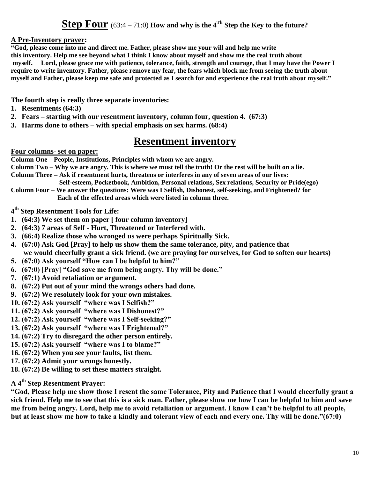### **Step Four** (63:4 – 71:0) **How and why is the 4Th Step the Key to the future?**

#### **A Pre-Inventory prayer:**

**"God, please come into me and direct me. Father, please show me your will and help me write this inventory. Help me see beyond what I think I know about myself and show me the real truth about myself. Lord, please grace me with patience, tolerance, faith, strength and courage, that I may have the Power I require to write inventory. Father, please remove my fear, the fears which block me from seeing the truth about myself and Father, please keep me safe and protected as I search for and experience the real truth about myself."**

**The fourth step is really three separate inventories:**

- **1. Resentments (64:3)**
- **2. Fears – starting with our resentment inventory, column four, question 4. (67:3)**
- **3. Harms done to others – with special emphasis on sex harms. (68:4)**

### **Resentment inventory**

#### **Four columns- set on paper:**

**Column One – People, Institutions, Principles with whom we are angry.** 

**Column Two – Why we are angry. This is where we must tell the truth! Or the rest will be built on a lie. Column Three – Ask if resentment hurts, threatens or interferes in any of seven areas of our lives:**

 **Self-esteem, Pocketbook, Ambition, Personal relations, Sex relations, Security or Pride(ego)**

**Column Four – We answer the questions: Were was I Selfish, Dishonest, self-seeking, and Frightened? for Each of the effected areas which were listed in column three.** 

**4 th Step Resentment Tools for Life:**

- **1. (64:3) We set them on paper [ four column inventory]**
- **2. (64:3) 7 areas of Self - Hurt, Threatened or Interfered with.**
- **3. (66:4) Realize those who wronged us were perhaps Spiritually Sick.**
- **4. (67:0) Ask God [Pray] to help us show them the same tolerance, pity, and patience that we would cheerfully grant a sick friend. (we are praying for ourselves, for God to soften our hearts)**
- **5. (67:0) Ask yourself "How can I be helpful to him?"**
- **6. (67:0) [Pray] "God save me from being angry. Thy will be done."**
- **7. (67:1) Avoid retaliation or argument.**
- **8. (67:2) Put out of your mind the wrongs others had done.**
- **9. (67:2) We resolutely look for your own mistakes.**
- **10. (67:2) Ask yourself "where was I Selfish?"**
- **11. (67:2) Ask yourself "where was I Dishonest?"**
- **12. (67:2) Ask yourself "where was I Self-seeking?"**
- **13. (67:2) Ask yourself "where was I Frightened?"**
- **14. (67:2) Try to disregard the other person entirely.**
- **15. (67:2) Ask yourself "where was I to blame?"**
- **16. (67:2) When you see your faults, list them.**
- **17. (67:2) Admit your wrongs honestly.**
- **18. (67:2) Be willing to set these matters straight.**

### **A 4th Step Resentment Prayer:**

**"God, Please help me show those I resent the same Tolerance, Pity and Patience that I would cheerfully grant a sick friend. Help me to see that this is a sick man. Father, please show me how I can be helpful to him and save me from being angry. Lord, help me to avoid retaliation or argument. I know I can't be helpful to all people, but at least show me how to take a kindly and tolerant view of each and every one. Thy will be done."(67:0)**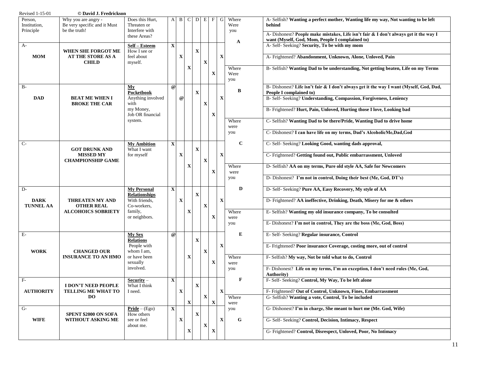| Revised 1-15-01                      | © David J. Fredrickson                                               |                                                  |              |             |             |             |                  |             |             |                      |                                                                                                                                         |
|--------------------------------------|----------------------------------------------------------------------|--------------------------------------------------|--------------|-------------|-------------|-------------|------------------|-------------|-------------|----------------------|-----------------------------------------------------------------------------------------------------------------------------------------|
| Person,<br>Institution,<br>Principle | Why you are angry -<br>Be very specific and it Must<br>be the truth! | Does this Hurt,<br>Threaten or<br>Interfere with | $\mathbf{A}$ | B           | C           | D           | Е<br>F           | G           |             | Where<br>Were        | A- Selfish? Wanting a perfect mother, Wanting life my way, Not wanting to be left<br>behind                                             |
|                                      |                                                                      | these Areas?                                     |              |             |             |             |                  |             |             | you                  | A-Dishonest? People make mistakes, Life isn't fair & I don't always get it the way I<br>want (Myself, God, Mom, People I complained to) |
| $A-$                                 | WHEN SHE FORGOT ME                                                   | Self - Esteem<br>How I see or                    | $\mathbf X$  |             |             | $\mathbf X$ |                  |             |             | A                    | A- Self- Seeking? Security, To be with my mom                                                                                           |
| <b>MOM</b>                           | <b>AT THE STORE AS A</b><br><b>CHILD</b>                             | feel about<br>myself.                            |              | X           |             |             | X                | X           |             |                      | A- Frightened? Abandonment, Unknown, Alone, Unloved, Pain                                                                               |
|                                      |                                                                      |                                                  |              |             | X           |             | X                |             |             | Where<br>Were<br>you | B- Selfish? Wanting Dad to be understanding, Not getting beaten, Life on my Terms                                                       |
| $B-$                                 |                                                                      | My<br>Pocketbook                                 | $\omega$     |             |             | $\mathbf X$ |                  |             |             | B                    | B- Dishonest? Life isn't fair & I don't always get it the way I want (Myself, God, Dad,<br>People I complained to)                      |
| <b>DAD</b>                           | <b>BEAT ME WHEN I</b><br><b>BROKE THE CAR</b>                        | Anything involved<br>with                        |              | $\omega$    |             |             | X                | X           |             |                      | B- Self- Seeking? Understanding, Compassion, Forgiveness, Leniency                                                                      |
|                                      |                                                                      | my Money,<br>Job OR financial                    |              |             |             |             | X                |             |             |                      | B- Frightened? Hurt, Pain, Unloved, Hurting those I love, Looking bad                                                                   |
|                                      |                                                                      | system.                                          |              |             |             |             |                  |             |             | Where<br>were        | C-Selfish? Wanting Dad to be there/Pride, Wanting Dad to drive home                                                                     |
|                                      |                                                                      |                                                  |              |             |             |             |                  |             |             | you                  | C- Dishonest? I can have life on my terms, Dad's AlcoholicMe,Dad,God                                                                    |
| $C-$                                 | <b>GOT DRUNK AND</b>                                                 | <b>My Ambition</b><br>What I want                | $\mathbf X$  |             |             | $\mathbf X$ |                  |             |             | $\mathbf C$          | C- Self- Seeking? Looking Good, wanting dads approval,                                                                                  |
|                                      | <b>MISSED MY</b><br><b>CHAMPIONSHIP GAME</b>                         | for myself                                       |              | X           |             |             | $\mathbf X$      | X           |             |                      | C- Frightened? Getting found out, Public embarrassment, Unloved                                                                         |
|                                      |                                                                      |                                                  |              |             | X           |             | X                |             |             | Where                | D-Selfish? AA on my terms, Pure old style AA, Safe for Newcomers                                                                        |
|                                      |                                                                      |                                                  |              |             |             |             |                  |             |             | were<br>you          | D- Dishonest? I'm not in control, Doing their best (Me, God, DT's)                                                                      |
| D-                                   |                                                                      | <b>My Personal</b><br>Relationships              | $\mathbf{X}$ |             |             |             |                  |             |             | D                    | D- Self- Seeking? Pure AA, Easy Recovery, My style of AA                                                                                |
| <b>DARK</b><br><b>TUNNEL AA</b>      | THREATEN MY AND<br><b>OTHER REAL</b>                                 | With friends,<br>Co-workers,                     |              | X           |             | $\mathbf X$ | $\mathbf X$      | $\mathbf X$ |             |                      | D- Frightened? AA ineffective, Drinking, Death, Misery for me & others                                                                  |
|                                      | <b>ALCOHOICS SOBRIETY</b>                                            | family,<br>or neighbors.                         |              |             | x           |             | X                |             |             | Where<br>were        | E- Selfish? Wanting my old insurance company, To be consulted                                                                           |
|                                      |                                                                      |                                                  |              |             |             |             |                  |             |             | you                  | E-Dishonest? I'm not in control, They are the boss (Me, God, Boss)                                                                      |
| $E-$                                 |                                                                      | <b>My Sex</b><br><b>Relations</b>                | $\omega$     |             |             | $\mathbf X$ |                  |             |             | Е                    | E- Self- Seeking? Regular insurance, Control                                                                                            |
| <b>WORK</b>                          | <b>CHANGED OUR</b>                                                   | People with<br>whom I am,                        |              |             |             |             | X                | X           |             |                      | E- Frightened? Poor insurance Coverage, costing more, out of control                                                                    |
|                                      | <b>INSURANCE TO AN HMO</b>                                           | or have been<br>sexually                         |              |             | X           |             | X                |             |             | Where<br>were        | F- Selfish? My way, Not be told what to do, Control                                                                                     |
|                                      |                                                                      | involved.                                        |              |             |             |             |                  |             |             | you                  | F-Dishonest? Life on my terms, I'm an exception, I don't need rules (Me, God,                                                           |
| $F-$                                 | <b>I DON'T NEED PEOPLE</b>                                           | $Security -$<br>What I think                     | $\mathbf{x}$ |             |             |             |                  |             |             |                      | <b>Authority</b> )<br>F- Self- Seeking? Control, My Way, To be left alone                                                               |
| <b>AUTHORITY</b>                     | TELLING ME WHAT TO                                                   | I need.                                          |              | $\mathbf X$ |             | $\mathbf X$ |                  |             | $\mathbf X$ |                      | F- Frightened? Out of Control, Unknown, Fines, Embarrassment                                                                            |
|                                      | <b>DO</b>                                                            |                                                  |              |             | $\mathbf X$ |             | $\mathbf X$<br>X |             |             | Where<br>were        | G- Selfish? Wanting a vote, Control, To be included                                                                                     |
| $G-$                                 | SPENT \$2000 ON SOFA                                                 | $Pride - (Ego)$<br>How others                    | $\mathbf{X}$ |             |             | X           |                  |             |             | you                  | G-Dishonest? I'm in charge, She meant to hurt me (Me. God, Wife)                                                                        |
| <b>WIFE</b>                          | WITHOUT ASKING ME                                                    | see or feel<br>about me.                         |              | X           |             |             | $\mathbf X$      | X           |             | G                    | G- Self- Seeking? Control, Decision, Intimacy, Respect                                                                                  |
|                                      |                                                                      |                                                  |              |             | $\mathbf X$ |             | $\mathbf X$      |             |             |                      | G- Frightened? Control, Disrespect, Unloved, Poor, No Intimacy                                                                          |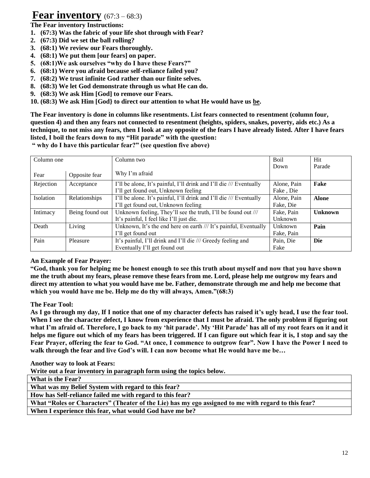## **Fear inventory** (67:3 – 68:3)

**The Fear inventory Instructions:**

- **1. (67:3) Was the fabric of your life shot through with Fear?**
- **2. (67:3) Did we set the ball rolling?**
- **3. (68:1) We review our Fears thoroughly.**
- **4. (68:1) We put them [our fears] on paper.**
- **5. (68:1)We ask ourselves "why do I have these Fears?"**
- **6. (68:1) Were you afraid because self-reliance failed you?**
- **7. (68:2) We trust infinite God rather than our finite selves.**
- **8. (68:3) We let God demonstrate through us what He can do.**
- **9. (68:3) We ask Him [God] to remove our Fears.**
- **10. (68:3) We ask Him [God} to direct our attention to what He would have us be.**

**The Fear inventory is done in columns like resentments. List fears connected to resentment (column four, question 4) and then any fears not connected to resentment (heights, spiders, snakes, poverty, aids etc.) As a technique, to not miss any fears, then I look at any opposite of the fears I have already listed. After I have fears listed, I boil the fears down to my "Hit parade" with the question:**

**" why do I have this particular fear?" (see question five above)**

| Column one              |                 | Column two                                                          | <b>Boil</b> | Hit            |
|-------------------------|-----------------|---------------------------------------------------------------------|-------------|----------------|
|                         |                 |                                                                     | Down        | Parade         |
| Fear                    | Opposite fear   | Why I'm afraid                                                      |             |                |
| Rejection<br>Acceptance |                 | I'll be alone, It's painful, I'll drink and I'll die /// Eventually | Alone, Pain | Fake           |
|                         |                 | I'll get found out, Unknown feeling                                 | Fake, Die   |                |
| <b>Isolation</b>        | Relationships   | I'll be alone. It's painful, I'll drink and I'll die /// Eventually | Alone, Pain | <b>Alone</b>   |
|                         |                 | I'll get found out, Unknown feeling                                 | Fake, Die   |                |
| Intimacy                | Being found out | Unknown feeling, They'll see the truth, I'll be found out ///       | Fake, Pain  | <b>Unknown</b> |
|                         |                 | It's painful, I feel like I'll just die.                            | Unknown     |                |
| Death                   | Living          | Unknown, It's the end here on earth /// It's painful, Eventually    | Unknown     | Pain           |
|                         |                 | I'll get found out                                                  | Fake, Pain  |                |
| Pain                    | Pleasure        | It's painful, I'll drink and I'll die /// Greedy feeling and        | Pain, Die   | Die            |
|                         |                 | Eventually I'll get found out                                       | Fake        |                |

#### **An Example of Fear Prayer:**

**"God, thank you for helping me be honest enough to see this truth about myself and now that you have shown me the truth about my fears, please remove these fears from me. Lord, please help me outgrow my fears and direct my attention to what you would have me be. Father, demonstrate through me and help me become that which you would have me be. Help me do thy will always, Amen."(68:3)**

#### **The Fear Tool:**

**As I go through my day, If I notice that one of my character defects has raised it's ugly head, I use the fear tool. When I see the character defect, I know from experience that I must be afraid. The only problem if figuring out what I'm afraid of. Therefore, I go back to my 'hit parade'. My 'Hit Parade' has all of my root fears on it and it helps me figure out which of my fears has been triggered. If I can figure out which fear it is, I stop and say the Fear Prayer, offering the fear to God. "At once, I commence to outgrow fear". Now I have the Power I need to walk through the fear and live God's will. I can now become what He would have me be…**

**Another way to look at Fears:**

**Write out a fear inventory in paragraph form using the topics below.** 

**What is the Fear?**

**What was my Belief System with regard to this fear?**

**How has Self-reliance failed me with regard to this fear?**

**What "Roles or Characters" (Theater of the Lie) has my ego assigned to me with regard to this fear?**

**When I experience this fear, what would God have me be?**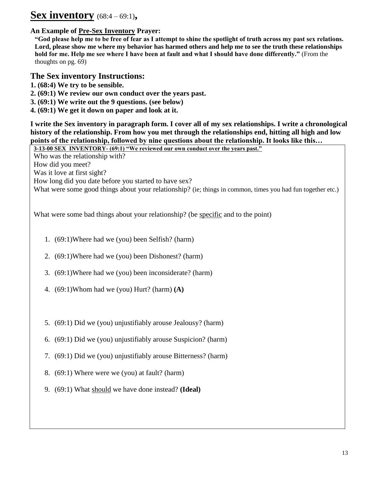# **Sex inventory** (68:4 – 69:1)**,**

#### **An Example of Pre-Sex Inventory Prayer:**

**"God please help me to be free of fear as I attempt to shine the spotlight of truth across my past sex relations. Lord, please show me where my behavior has harmed others and help me to see the truth these relationships hold for me. Help me see where I have been at fault and what I should have done differently."** (From the thoughts on pg. 69)

#### **The Sex inventory Instructions:**

- **1. (68:4) We try to be sensible.**
- **2. (69:1) We review our own conduct over the years past.**
- **3. (69:1) We write out the 9 questions. (see below)**
- **4. (69:1) We get it down on paper and look at it.**

**I write the Sex inventory in paragraph form. I cover all of my sex relationships. I write a chronological history of the relationship. From how you met through the relationships end, hitting all high and low points of the relationship, followed by nine questions about the relationship. It looks like this…**

**3-13-00 SEX INVENTORY- (69:1) "We reviewed our own conduct over the years past."**  Who was the relationship with? How did you meet? Was it love at first sight? How long did you date before you started to have sex? What were some good things about your relationship? (ie; things in common, times you had fun together etc.)

What were some bad things about your relationship? (be specific and to the point)

- 1. (69:1)Where had we (you) been Selfish? (harm)
- 2. (69:1)Where had we (you) been Dishonest? (harm)
- 3. (69:1)Where had we (you) been inconsiderate? (harm)
- 4. (69:1)Whom had we (you) Hurt? (harm) **(A)**
- 5. (69:1) Did we (you) unjustifiably arouse Jealousy? (harm)
- 6. (69:1) Did we (you) unjustifiably arouse Suspicion? (harm)
- 7. (69:1) Did we (you) unjustifiably arouse Bitterness? (harm)
- 8. (69:1) Where were we (you) at fault? (harm)
- 9. (69:1) What should we have done instead? **(Ideal)**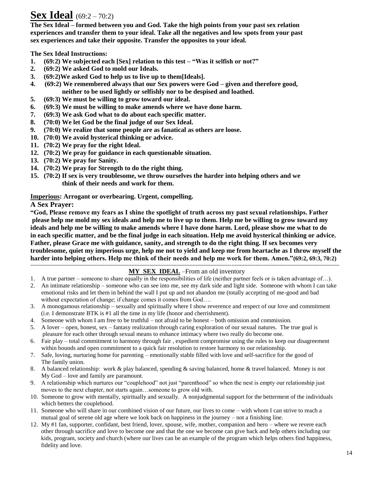# **Sex Ideal** (69:2 – 70:2)

**The Sex Ideal – formed between you and God. Take the high points from your past sex relation experiences and transfer them to your ideal. Take all the negatives and low spots from your past sex experiences and take their opposite. Transfer the opposites to your ideal.**

**The Sex Ideal Instructions:**

- **1. (69:2) We subjected each [Sex] relation to this test – "Was it selfish or not?"**
- **2. (69:2) We asked God to mold our Ideals.**
- **3. (69:2)We asked God to help us to live up to them[Ideals].**
- **4. (69:2) We remembered always that our Sex powers were God – given and therefore good, neither to be used lightly or selfishly nor to be despised and loathed.**
- **5. (69:3) We must be willing to grow toward our ideal.**
- **6. (69:3) We must be willing to make amends where we have done harm.**
- **7. (69:3) We ask God what to do about each specific matter.**
- **8. (70:0) We let God be the final judge of our Sex Ideal.**
- **9. (70:0) We realize that some people are as fanatical as others are loose.**
- **10. (70:0) We avoid hysterical thinking or advice.**
- **11. (70:2) We pray for the right Ideal.**
- **12. (70:2) We pray for guidance in each questionable situation.**
- **13. (70:2) We pray for Sanity.**
- **14. (70:2) We pray for Strength to do the right thing.**
- **15. (70:2) If sex is very troublesome, we throw ourselves the harder into helping others and we think of their needs and work for them.**

#### **Imperious: Arrogant or overbearing. Urgent, compelling.**

**A Sex Prayer:**

**"God, Please remove my fears as I shine the spotlight of truth across my past sexual relationships. Father please help me mold my sex ideals and help me to live up to them. Help me be willing to grow toward my ideals and help me be willing to make amends where I have done harm. Lord, please show me what to do in each specific matter, and be the final judge in each situation. Help me avoid hysterical thinking or advice. Father, please Grace me with guidance, sanity, and strength to do the right thing. If sex becomes very troublesome, quiet my imperious urge, help me not to yield and keep me from heartache as I throw myself the harder into helping others. Help me think of their needs and help me work for them. Amen."(69:2, 69:3, 70:2) ------------------------------------------------------------------------------------------------------------------------------------------------------------------------------------------------**

#### **MY SEX IDEAL** –From an old inventory

- 1. A true partner someone to share equally in the responsibilities of life (neither partner feels or is taken advantage of…).
- 2. An intimate relationship someone who can see into me, see my dark side and light side. Someone with whom I can take emotional risks and let them in behind the wall I put up and not abandon me (totally accepting of me-good and bad without expectation of change; if change comes it comes from God....
- 3. A monogamous relationship sexually and spiritually where I show reverence and respect of our love and commitment (i.e. I demonstrate BTK is #1 all the time in my life (honor and cherrishment).
- 4. Someone with whom I am free to be truthful not afraid to be honest both omission and commission.
- 5. A lover open, honest, sex fantasy realization through caring exploration of our sexual natures. The true goal is pleasure for each other through sexual means to enhance intimacy where two really do become one.
- 6. Fair play total commitment to harmony through fair , expedient compromise using the rules to keep our disagreement within bounds and open commitment to a quick fair resolution to restore harmony to our relationship.
- 7. Safe, loving, nurturing home for parenting emotionally stable filled with love and self-sacrifice for the good of The family union.
- 8. A balanced relationship: work & play balanced, spending & saving balanced, home & travel balanced. Money is not My God – love and family are paramount.
- 9. A relationship which nurtures our "couplehood" not just "parenthood" so when the nest is empty our relationship just moves to the next chapter, not starts again…someone to grow old with.
- 10. Someone to grow with mentally, spiritually and sexually. A nonjudgmental support for the betterment of the individuals which betters the couplehood.
- 11. Someone who will share in our combined vision of our future, our lives to come with whom I can strive to reach a mutual goal of serene old age where we look back on happiness in the journey – not a finishing line.
- 12. My #1 fan, supporter, confidant, best friend, lover, spouse, wife, mother, companion and hero where we revere each other through sacrifice and love to become one and that the one we become can give back and help others including our kids, program, society and church (where our lives can be an example of the program which helps others find happiness, fidelity and love.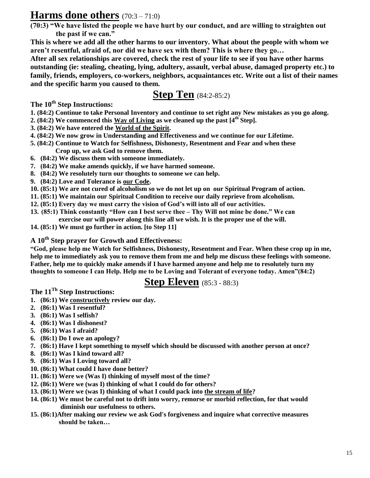### **Harms done others** (70:3 – 71:0)

**(70:3) "We have listed the people we have hurt by our conduct, and are willing to straighten out the past if we can."**

**This is where we add all the other harms to our inventory. What about the people with whom we aren't resentful, afraid of, nor did we have sex with them? This is where they go…**

**After all sex relationships are covered, check the rest of your life to see if you have other harms outstanding (ie: stealing, cheating, lying, adultery, assault, verbal abuse, damaged property etc.) to family, friends, employers, co-workers, neighbors, acquaintances etc. Write out a list of their names and the specific harm you caused to them.**

**Step Ten** (84:2-85:2)

**The 10th Step Instructions:**

- **1. (84:2) Continue to take Personal Inventory and continue to set right any New mistakes as you go along.**
- **2. (84:2) We commenced this Way of Living as we cleaned up the past [4th Step].**
- **3. (84:2) We have entered the World of the Spirit.**
- **4. (84:2) We now grow in Understanding and Effectiveness and we continue for our Lifetime.**
- **5. (84:2) Continue to Watch for Selfishness, Dishonesty, Resentment and Fear and when these Crop up, we ask God to remove them.**
- **6. (84:2) We discuss them with someone immediately.**
- **7. (84:2) We make amends quickly, if we have harmed someone.**
- **8. (84:2) We resolutely turn our thoughts to someone we can help.**
- **9. (84:2) Love and Tolerance is our Code.**
- **10. (85:1) We are not cured of alcoholism so we do not let up on our Spiritual Program of action.**
- **11. (85:1) We maintain our Spiritual Condition to receive our daily reprieve from alcoholism.**
- **12. (85:1) Every day we must carry the vision of God's will into all of our activities.**
- **13. (85:1) Think constantly "How can I best serve thee – Thy Will not mine be done." We can exercise our will power along this line all we wish. It is the proper use of the will.**
- **14. (85:1) We must go further in action. [to Step 11]**

#### **A 10th Step prayer for Growth and Effectiveness:**

**"God, please help me Watch for Selfishness, Dishonesty, Resentment and Fear. When these crop up in me, help me to immediately ask you to remove them from me and help me discuss these feelings with someone. Father, help me to quickly make amends if I have harmed anyone and help me to resolutely turn my thoughts to someone I can Help. Help me to be Loving and Tolerant of everyone today. Amen"(84:2)**

# **Step Eleven** (85:3 - 88:3)

**The 11Th Step Instructions:**

- **1. (86:1) We constructively review our day.**
- **2. (86:1) Was I resentful?**
- **3. (86:1) Was I selfish?**
- **4. (86:1) Was I dishonest?**
- **5. (86:1) Was I afraid?**
- **6. (86:1) Do I owe an apology?**
- **7. (86:1) Have I kept something to myself which should be discussed with another person at once?**
- **8. (86:1) Was I kind toward all?**
- **9. (86:1) Was I Loving toward all?**
- **10. (86:1) What could I have done better?**
- **11. (86:1) Were we (Was I) thinking of myself most of the time?**
- **12. (86:1) Were we (was I) thinking of what I could do for others?**
- **13. (86:1) Were we (was I) thinking of what I could pack into the stream of life?**
- **14. (86:1) We must be careful not to drift into worry, remorse or morbid reflection, for that would diminish our usefulness to others.**
- **15. (86:1)After making our review we ask God's forgiveness and inquire what corrective measures should be taken…**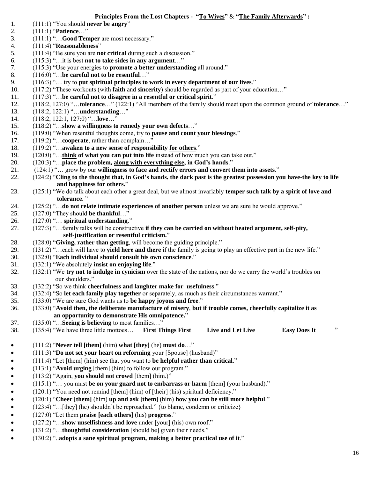#### **Principles From the Lost Chapters - "To Wives"** & **"The Family Afterwards" :**

- 1. (111:1) "You should **never be angry**"
- 2. (111:1) "**Patience**…"
- 3. (111:1) "…**Good Temper** are most necessary."
- 4. (111:4) "**Reasonableness**"
- 5. (111:4) "Be sure you are **not critical** during such a discussion."
- 6. (115:3) "…it is best **not to take sides in any argument**…"
- 7. (115:3) "Use your energies to **promote a better understanding** all around."
- 8. (116:0) "…**be careful not to be resentful**…"
- 9. (116:3) "… try to **put spiritual principles to work in every department of our lives**."
- 10. (117:2) "These workouts (with **faith** and **sincerity**) should be regarded as part of your education…"
- 11. (117:3) "…**be careful not to disagree in a resentful or critical spirit**."
- 12. (118:2, 127:0) "…**tolerance**…" (122:1) "All members of the family should meet upon the common ground of **tolerance**…"
- 13. (118:2, 122:1) "…**understanding**…"
- 14. (118:2, 122:1, 127:0) "…**love**…"
- 15. (118:2) "…**show a willingness to remedy your own defects**…"
- 16. (119:0) "When resentful thoughts come, try to **pause and count your blessings**."
- 17. (119:2) "…**cooperate**, rather than complain…"
- 18. (119:2) "…**awaken to a new sense of responsibility for others**."
- 19. (120:0) "…**think of what you can put into life** instead of how much you can take out."
- 20. (120:3) "…**place the problem, along with everything else, in God's hands**."
- 21. (124:1) "… grow by our **willingness to face and rectify errors and convert them into assets**."
- 22. (124:2) "**Cling to the thought that, in God's hands, the dark past is the greatest possession you have-the key to life and happiness for others.**"
- 23. (125:1) "We do talk about each other a great deal, but we almost invariably **temper such talk by a spirit of love and tolerance**. "
- 24. (125:2) "…**do not relate intimate experiences of another person** unless we are sure he would approve."
- 25. (127:0) "They should **be thankful**…"
- 26. (127:0) "… **spiritual understanding**."
- 27. (127:3) "…family talks will be constructive **if they can be carried on without heated argument, self-pity, self-justification or resentful criticism.**"
- 28. (128:0) "**Giving, rather than getting**, will become the guiding principle."
- 29. (131:2) "…each will have to **yield here and there** if the family is going to play an effective part in the new life."
- 30. (132:0) "**Each individual should consult his own conscience**."
- 31. (132:1) "We absolutely **insist on enjoying life**."
- 32. (132:1) "We **try not to indulge in cynicism** over the state of the nations, nor do we carry the world's troubles on our shoulders."
- 33. (132:2) "So we think **cheerfulness and laughter make for usefulness**."
- 34. (132:4) "So **let each family play together** or separately, as much as their circumstances warrant."
- 35. (133:0) "We are sure God wants us to **be happy joyous and free**."
- 36. (133:0) "**Avoid then, the deliberate manufacture of misery**, **but if trouble comes, cheerfully capitalize it as an opportunity to demonstrate His omnipotence.**"
- 37. (135:0) "…**Seeing is believing** to most families…"
- 38. (135:4) "We have three little mottoes… **First Things First Live and Let Live Easy Does It** "
- (111:2) "**Never tell [them]** (him) **what [they]** (he) **must do**…"
- (111:3) "**Do not set your heart on reforming** your [Spouse] (husband)"
- (111:4) "Let [them] (him) see that you want to **be helpful rather than critical**."
- (113:1) "**Avoid urging** [them] (him) to follow our program."
- (113:2) "Again, **you should not crowd** [them] (him.)"
- (115:1) "… you must **be on your guard not to embarrass or harm** [them] (your husband)."
- (120:1) "You need not remind [them] (him) of [their] (his) spiritual deficiency."
- (120:1) "**Cheer [them]** (him) **up and ask [them]** (him) **how you can be still more helpful**."
- (123:4) "…[they] (he) shouldn't be reproached." {to blame, condemn or criticize}
- (127:0) "Let them **praise [each others**] (his) **progress**."
- (127:2) "…**show unselfishness and love** under [your] (his) own roof."
- (131:2) "…**thoughtful consideration** [should be] given their needs."
- (130:2) "..**adopts a sane spiritual program, making a better practical use of it**."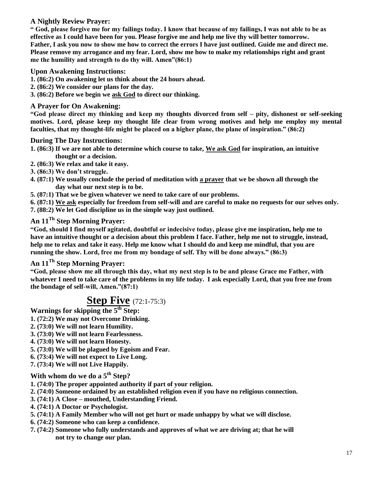#### **A Nightly Review Prayer:**

**" God, please forgive me for my failings today. I know that because of my failings, I was not able to be as effective as I could have been for you. Please forgive me and help me live thy will better tomorrow. Father, I ask you now to show me how to correct the errors I have just outlined. Guide me and direct me. Please remove my arrogance and my fear. Lord, show me how to make my relationships right and grant me the humility and strength to do thy will. Amen"(86:1)**

#### **Upon Awakening Instructions:**

- **1. (86:2) On awakening let us think about the 24 hours ahead.**
- **2. (86:2) We consider our plans for the day.**
- **3. (86:2) Before we begin we ask God to direct our thinking.**

#### **A Prayer for On Awakening:**

**"God please direct my thinking and keep my thoughts divorced from self – pity, dishonest or self-seeking motives. Lord, please keep my thought life clear from wrong motives and help me employ my mental faculties, that my thought-life might be placed on a higher plane, the plane of inspiration." (86:2)**

#### **During The Day Instructions:**

- **1. (86:3) If we are not able to determine which course to take, We ask God for inspiration, an intuitive thought or a decision.**
- **2. (86:3) We relax and take it easy.**
- **3. (86:3) We don't struggle.**
- **4. (87:1) We usually conclude the period of meditation with a prayer that we be shown all through the day what our next step is to be.**
- **5. (87:1) That we be given whatever we need to take care of our problems.**
- **6. (87:1) We ask especially for freedom from self-will and are careful to make no requests for our selves only.**
- **7. (88:2) We let God discipline us in the simple way just outlined.**

#### **An 11Th Step Morning Prayer:**

**"God, should I find myself agitated, doubtful or indecisive today, please give me inspiration, help me to have an intuitive thought or a decision about this problem I face. Father, help me not to struggle, instead, help me to relax and take it easy. Help me know what I should do and keep me mindful, that you are running the show. Lord, free me from my bondage of self. Thy will be done always." (86:3)**

#### **An 11Th Step Morning Prayer:**

**"God, please show me all through this day, what my next step is to be and please Grace me Father, with whatever I need to take care of the problems in my life today. I ask especially Lord, that you free me from the bondage of self-will, Amen."(87:1)**

### **Step Five** (72:1-75:3)

**Warnings for skipping the 5th Step:**

- **1. (72:2) We may not Overcome Drinking.**
- **2. (73:0) We will not learn Humility.**
- **3. (73:0) We will not learn Fearlessness.**
- **4. (73:0) We will not learn Honesty.**
- **5. (73:0) We will be plagued by Egoism and Fear.**
- **6. (73:4) We will not expect to Live Long.**
- **7. (73:4) We will not Live Happily.**

### **With whom do we do a 5th Step?**

- **1. (74:0) The proper appointed authority if part of your religion.**
- **2. (74:0) Someone ordained by an established religion even if you have no religious connection.**
- **3. (74:1) A Close – mouthed, Understanding Friend.**
- **4. (74:1) A Doctor or Psychologist.**
- **5. (74:1) A Family Member who will not get hurt or made unhappy by what we will disclose.**
- **6. (74:2) Someone who can keep a confidence.**
- **7. (74:2) Someone who fully understands and approves of what we are driving at; that he will not try to change our plan.**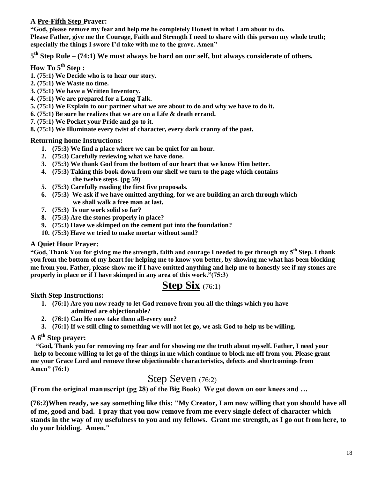#### **A Pre-Fifth Step Prayer:**

**"God, please remove my fear and help me be completely Honest in what I am about to do. Please Father, give me the Courage, Faith and Strength I need to share with this person my whole truth; especially the things I swore I'd take with me to the grave. Amen"**

**5 th Step Rule – (74:1) We must always be hard on our self, but always considerate of others.**

#### **How To 5th Step :**

- **1. (75:1) We Decide who is to hear our story.**
- **2. (75:1) We Waste no time.**
- **3. (75:1) We have a Written Inventory.**
- **4. (75:1) We are prepared for a Long Talk.**
- **5. (75:1) We Explain to our partner what we are about to do and why we have to do it.**
- **6. (75:1) Be sure he realizes that we are on a Life & death errand.**
- **7. (75:1) We Pocket your Pride and go to it.**
- **8. (75:1) We Illuminate every twist of character, every dark cranny of the past.**

#### **Returning home Instructions:**

- **1. (75:3) We find a place where we can be quiet for an hour.**
- **2. (75:3) Carefully reviewing what we have done.**
- **3. (75:3) We thank God from the bottom of our heart that we know Him better.**
- **4. (75:3) Taking this book down from our shelf we turn to the page which contains the twelve steps. (pg 59)**
- **5. (75:3) Carefully reading the first five proposals.**
- **6. (75:3) We ask if we have omitted anything, for we are building an arch through which we shall walk a free man at last.**
- **7. (75:3) Is our work solid so far?**
- **8. (75:3) Are the stones properly in place?**
- **9. (75:3) Have we skimped on the cement put into the foundation?**
- **10. (75:3) Have we tried to make mortar without sand?**

#### **A Quiet Hour Prayer:**

**"God, Thank You for giving me the strength, faith and courage I needed to get through my 5th Step. I thank you from the bottom of my heart for helping me to know you better, by showing me what has been blocking me from you. Father, please show me if I have omitted anything and help me to honestly see if my stones are properly in place or if I have skimped in any area of this work."(75:3)**

### **Step Six** (76:1)

**Sixth Step Instructions:**

- **1. (76:1) Are you now ready to let God remove from you all the things which you have admitted are objectionable?**
- **2. (76:1) Can He now take them all-every one?**
- **3. (76:1) If we still cling to something we will not let go, we ask God to help us be willing.**

### **A 6th Step prayer:**

**"God, Thank you for removing my fear and for showing me the truth about myself. Father, I need your help to become willing to let go of the things in me which continue to block me off from you. Please grant me your Grace Lord and remove these objectionable characteristics, defects and shortcomings from Amen" (76:1)** 

### Step Seven (76:2)

**(From the original manuscript (pg 28) of the Big Book) We get down on our knees and …**

**(76:2)When ready, we say something like this: "My Creator, I am now willing that you should have all of me, good and bad. I pray that you now remove from me every single defect of character which stands in the way of my usefulness to you and my fellows. Grant me strength, as I go out from here, to do your bidding. Amen."**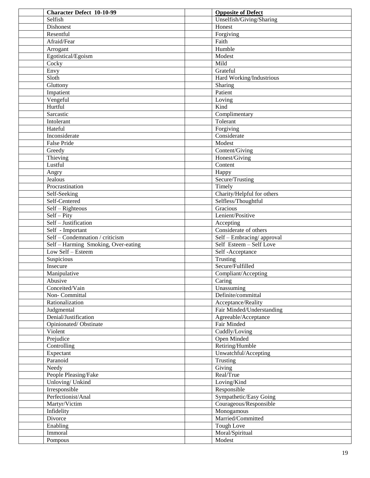| <b>Character Defect 10-10-99</b>                  | <b>Opposite of Defect</b>           |
|---------------------------------------------------|-------------------------------------|
| Selfish                                           | Unselfish/Giving/Sharing            |
| Dishonest                                         | Honest                              |
| Resentful                                         | Forgiving                           |
| Afraid/Fear                                       | Faith                               |
| Arrogant                                          | Humble                              |
| Egotistical/Egoism                                | Modest                              |
| Cocky                                             | Mild                                |
| Envy                                              | Grateful                            |
| Sloth                                             | Hard Working/Industrious            |
| Gluttony                                          | Sharing                             |
| Impatient                                         | Patient                             |
| Vengeful                                          | Loving                              |
| Hurtful                                           | Kind                                |
| Sarcastic                                         | Complimentary                       |
| Intolerant                                        | Tolerant                            |
| Hateful                                           | Forgiving                           |
| Inconsiderate                                     | Considerate                         |
| False Pride                                       | Modest                              |
| Greedy                                            | Content/Giving                      |
| Thieving                                          | Honest/Giving                       |
| Lustful                                           | Content                             |
| Angry                                             | Happy                               |
| Jealous                                           | Secure/Trusting                     |
| Procrastination                                   | Timely                              |
| Self-Seeking                                      | Charity/Helpful for others          |
| Self-Centered                                     | Selfless/Thoughtful                 |
| Self - Righteous                                  | Gracious                            |
| $\overline{\text{Self} - \text{Pity}}$            | Lenient/Positive                    |
| Self - Justification                              | Accepting                           |
| Self - Important                                  | Considerate of others               |
| $\overline{\text{Self}-\text{Condem}$ / criticism | Self - Embracing/approval           |
| Self - Harming Smoking, Over-eating               | Self Esteem - Self Love             |
| Low Self - Esteem                                 | Self-Acceptance                     |
| Suspicious                                        | Trusting                            |
| Insecure                                          | Secure/Fulfilled                    |
| Manipulative                                      | Compliant/Accepting                 |
| Abusive                                           | Caring                              |
| Conceited/Vain                                    | Unassuming                          |
| Non-Committal                                     | Definite/committal                  |
| Rationalization                                   | Acceptance/Reality                  |
| Judgmental                                        | Fair Minded/Understanding           |
| Denial/Justification                              | Agreeable/Acceptance                |
| Opinionated/Obstinate<br>Violent                  | Fair Minded                         |
| Prejudice                                         | Cuddly/Loving<br><b>Open Minded</b> |
| Controlling                                       | Retiring/Humble                     |
| Expectant                                         | Unwatchful/Accepting                |
| Paranoid                                          | Trusting                            |
| Needy                                             | Giving                              |
| People Pleasing/Fake                              | Real/True                           |
| Unloving/ Unkind                                  | Loving/Kind                         |
| Irresponsible                                     | Responsible                         |
| Perfectionist/Anal                                | Sympathetic/Easy Going              |
| Martyr/Victim                                     | Courageous/Responsible              |
| Infidelity                                        | Monogamous                          |
| Divorce                                           | Married/Committed                   |
| Enabling                                          | Tough Love                          |
| Immoral                                           | Moral/Spiritual                     |
| Pompous                                           | Modest                              |
|                                                   |                                     |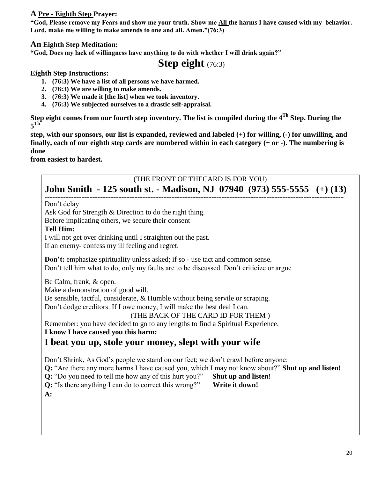#### **A Pre - Eighth Step Prayer:**

**"God, Please remove my Fears and show me your truth. Show me All the harms I have caused with my behavior. Lord, make me willing to make amends to one and all. Amen."(76:3)**

#### **An Eighth Step Meditation:**

**"God, Does my lack of willingness have anything to do with whether I will drink again?"**

### **Step eight** (76:3)

**Eighth Step Instructions:**

- **1. (76:3) We have a list of all persons we have harmed.**
- **2. (76:3) We are willing to make amends.**
- **3. (76:3) We made it [the list] when we took inventory.**
- **4. (76:3) We subjected ourselves to a drastic self-appraisal.**

**Step eight comes from our fourth step inventory. The list is compiled during the 4Th Step. During the**   $5^{\text{Th}}$ 

**step, with our sponsors, our list is expanded, reviewed and labeled (+) for willing, (-) for unwilling, and finally, each of our eighth step cards are numbered within in each category (+ or -). The numbering is done** 

**from easiest to hardest.** 

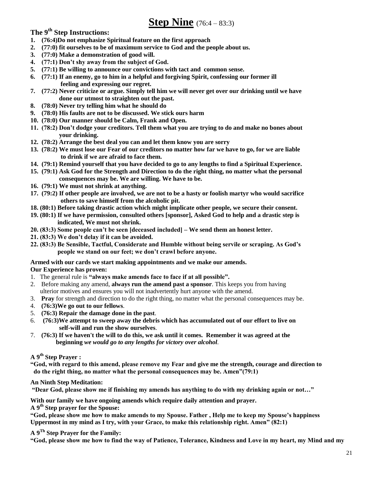**The 9th Step Instructions:**

- **1. (76:4)Do not emphasize Spiritual feature on the first approach**
- **2. (77:0) fit ourselves to be of maximum service to God and the people about us.**
- **3. (77:0) Make a demonstration of good will.**
- **4. (77:1) Don't shy away from the subject of God.**
- **5. (77:1) Be willing to announce our convictions with tact and common sense.**
- **6. (77:1) If an enemy, go to him in a helpful and forgiving Spirit, confessing our former ill feeling and expressing our regret.**
- **7. (77:2) Never criticize or argue. Simply tell him we will never get over our drinking until we have done our utmost to straighten out the past.**
- **8. (78:0) Never try telling him what he should do**
- **9. (78:0) His faults are not to be discussed. We stick ours harm**
- **10. (78:0) Our manner should be Calm, Frank and Open.**
- **11. (78:2) Don't dodge your creditors. Tell them what you are trying to do and make no bones about your drinking.**
- **12. (78:2) Arrange the best deal you can and let them know you are sorry**
- **13. (78:2) We must lose our Fear of our creditors no matter how far we have to go, for we are liable to drink if we are afraid to face them.**
- **14. (79:1) Remind yourself that you have decided to go to any lengths to find a Spiritual Experience.**
- **15. (79:1) Ask God for the Strength and Direction to do the right thing, no matter what the personal consequences may be. We are willing. We have to be.**
- **16. (79:1) We must not shrink at anything.**
- **17. (79:2) If other people are involved, we are not to be a hasty or foolish martyr who would sacrifice others to save himself from the alcoholic pit.**
- **18. (80:1) Before taking drastic action which might implicate other people, we secure their consent.**
- **19. (80:1) If we have permission, consulted others [sponsor], Asked God to help and a drastic step is indicated, We must not shrink.**
- **20. (83:3) Some people can't be seen [deceased included] – We send them an honest letter.**
- **21. (83:3) We don't delay if it can be avoided.**
- **22. (83:3) Be Sensible, Tactful, Considerate and Humble without being servile or scraping. As God's people we stand on our feet; we don't crawl before anyone.**

#### **Armed with our cards we start making appointments and we make our amends.**

#### **Our Experience has proven:**

- 1. The general rule is **"always make amends face to face if at all possible".**
- 2. Before making any amend, **always run the amend past a sponsor**. This keeps you from having ulterior motives and ensures you will not inadvertently hurt anyone with the amend.
- 3. **Pray** for strength and direction to do the right thing, no matter what the personal consequences may be.
- 4. **(76:3)We go out to our fellows**.
- 5. **(76:3) Repair the damage done in the past**.
- 6. **(76:3)We attempt to sweep away the debris which has accumulated out of our effort to live on self-will and run the show ourselves**.
- 7. **(76:3) If we haven't the will to do this, we ask until it comes. Remember it was agreed at the beginning** *we would go to any lengths for victory over alcohol.*

#### **A 9th Step Prayer :**

**"God, with regard to this amend, please remove my Fear and give me the strength, courage and direction to do the right thing, no matter what the personal consequences may be. Amen"(79:1)**

**An Ninth Step Meditation:**

**"Dear God, please show me if finishing my amends has anything to do with my drinking again or not…"**

**With our family we have ongoing amends which require daily attention and prayer.** 

**A 9th Step prayer for the Spouse:**

**"God, please show me how to make amends to my Spouse. Father , Help me to keep my Spouse's happiness Uppermost in my mind as I try, with your Grace, to make this relationship right. Amen" (82:1)**

**A 9Th Step Prayer for the Family:**

**"God, please show me how to find the way of Patience, Tolerance, Kindness and Love in my heart, my Mind and my**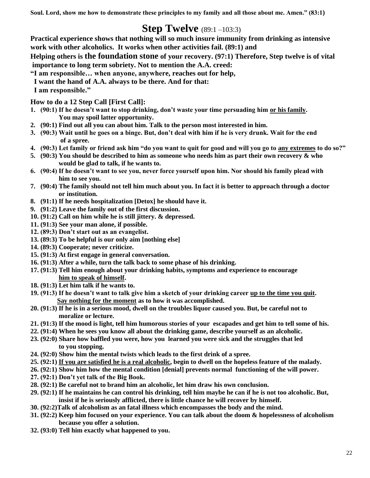**Soul. Lord, show me how to demonstrate these principles to my family and all those about me. Amen." (83:1)**

# **Step Twelve** (89:1 –103:3)

**Practical experience shows that nothing will so much insure immunity from drinking as intensive work with other alcoholics. It works when other activities fail. (89:1) and**

**Helping others is the foundation stone of your recovery. (97:1) Therefore, Step twelve is of vital importance to long term sobriety. Not to mention the A.A. creed:**

- **"I am responsible… when anyone, anywhere, reaches out for help,**
- **I want the hand of A.A. always to be there. And for that:**
- **I am responsible."**

**How to do a 12 Step Call [First Call]:**

- **1. (90:1) If he doesn't want to stop drinking, don't waste your time persuading him or his family. You may spoil latter opportunity.**
- **2. (90:1) Find out all you can about him. Talk to the person most interested in him.**
- **3. (90:3) Wait until he goes on a binge. But, don't deal with him if he is very drunk. Wait for the end of a spree.**
- **4. (90:3) Let family or friend ask him "do you want to quit for good and will you go to any extremes to do so?"**
- **5. (90:3) You should be described to him as someone who needs him as part their own recovery & who would be glad to talk, if he wants to.**
- **6. (90:4) If he doesn't want to see you, never force yourself upon him. Nor should his family plead with him to see you.**
- **7. (90:4) The family should not tell him much about you. In fact it is better to approach through a doctor or institution.**
- **8. (91:1) If he needs hospitalization [Detox] he should have it.**
- **9. (91:2) Leave the family out of the first discussion.**
- **10. (91:2) Call on him while he is still jittery. & depressed.**
- **11. (91:3) See your man alone, if possible.**
- **12. (89:3) Don't start out as an evangelist.**
- **13. (89:3) To be helpful is our only aim [nothing else]**
- **14. (89:3) Cooperate; never criticize.**
- **15. (91:3) At first engage in general conversation.**
- **16. (91:3) After a while, turn the talk back to some phase of his drinking.**
- **17. (91:3) Tell him enough about your drinking habits, symptoms and experience to encourage him to speak of himself.**
- **18. (91:3) Let him talk if he wants to.**
- **19. (91:3) If he doesn't want to talk give him a sketch of your drinking career up to the time you quit. Say nothing for the moment as to how it was accomplished.**
- **20. (91:3) If he is in a serious mood, dwell on the troubles liquor caused you. But, be careful not to moralize or lecture.**
- **21. (91:3) If the mood is light, tell him humorous stories of your escapades and get him to tell some of his.**
- **22. (91:4) When he sees you know all about the drinking game, describe yourself as an alcoholic.**
- **23. (92:0) Share how baffled you were, how you learned you were sick and the struggles that led to you stopping.**
- **24. (92:0) Show him the mental twists which leads to the first drink of a spree.**
- **25. (92:1) If you are satisfied he is a real alcoholic, begin to dwell on the hopeless feature of the malady.**
- **26. (92:1) Show him how the mental condition [denial] prevents normal functioning of the will power.**
- **27. (92:1) Don't yet talk of the Big Book.**
- **28. (92:1) Be careful not to brand him an alcoholic, let him draw his own conclusion.**
- **29. (92:1) If he maintains he can control his drinking, tell him maybe he can if he is not too alcoholic. But, insist if he is seriously afflicted, there is little chance he will recover by himself.**
- **30. (92:2)Talk of alcoholism as an fatal illness which encompasses the body and the mind.**
- **31. (92:2) Keep him focused on your experience. You can talk about the doom & hopelessness of alcoholism because you offer a solution.**
- **32. (93:0) Tell him exactly what happened to you.**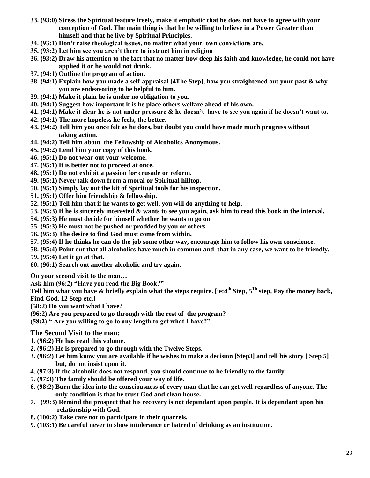- **33. (93:0) Stress the Spiritual feature freely, make it emphatic that he does not have to agree with your conception of God. The main thing is that he be willing to believe in a Power Greater than himself and that he live by Spiritual Principles.**
- **34. (93:1) Don't raise theological issues, no matter what your own convictions are.**
- **35. (93:2) Let him see you aren't there to instruct him in religion**
- **36. (93:2) Draw his attention to the fact that no matter how deep his faith and knowledge, he could not have applied it or he would not drink.**
- **37. (94:1) Outline the program of action.**
- **38. (94:1) Explain how you made a self-appraisal [4The Step], how you straightened out your past & why you are endeavoring to be helpful to him.**
- **39. (94:1) Make it plain he is under no obligation to you.**
- **40. (94:1) Suggest how important it is he place others welfare ahead of his own.**
- **41. (94:1) Make it clear he is not under pressure & he doesn't have to see you again if he doesn't want to.**
- **42. (94:1) The more hopeless he feels, the better.**
- **43. (94:2) Tell him you once felt as he does, but doubt you could have made much progress without taking action.**
- **44. (94:2) Tell him about the Fellowship of Alcoholics Anonymous.**
- **45. (94:2) Lend him your copy of this book.**
- **46. (95:1) Do not wear out your welcome.**
- **47. (95:1) It is better not to proceed at once.**
- **48. (95:1) Do not exhibit a passion for crusade or reform.**
- **49. (95:1) Never talk down from a moral or Spiritual hilltop.**
- **50. (95:1) Simply lay out the kit of Spiritual tools for his inspection.**
- **51. (95:1) Offer him friendship & fellowship.**
- **52. (95:1) Tell him that if he wants to get well, you will do anything to help.**
- **53. (95:3) If he is sincerely interested & wants to see you again, ask him to read this book in the interval.**
- **54. (95:3) He must decide for himself whether he wants to go on**
- **55. (95:3) He must not be pushed or prodded by you or others.**
- **56. (95:3) The desire to find God must come from within.**
- **57. (95:4) If he thinks he can do the job some other way, encourage him to follow his own conscience.**
- **58. (95:4) Point out that all alcoholics have much in common and that in any case, we want to be friendly.**
- **59. (95:4) Let it go at that.**
- **60. (96:1) Search out another alcoholic and try again.**

**On your second visit to the man…**

**Ask him (96:2) "Have you read the Big Book?"**

**Tell him what you have & briefly explain what the steps require. [ie:4th Step, 5Th step, Pay the money back, Find God, 12 Step etc.]**

**(58:2) Do you want what I have?**

**(96:2) Are you prepared to go through with the rest of the program?**

**(58:2) " Are you willing to go to any length to get what I have?"**

#### **The Second Visit to the man:**

- **1. (96:2) He has read this volume.**
- **2. (96:2) He is prepared to go through with the Twelve Steps.**
- **3. (96:2) Let him know you are available if he wishes to make a decision [Step3] and tell his story [ Step 5] but, do not insist upon it.**
- **4. (97:3) If the alcoholic does not respond, you should continue to be friendly to the family.**
- **5. (97:3) The family should be offered your way of life.**
- **6. (98:2) Burn the idea into the consciousness of every man that he can get well regardless of anyone. The only condition is that he trust God and clean house.**
- **7. (99:3) Remind the prospect that his recovery is not dependant upon people. It is dependant upon his relationship with God.**
- **8. (100:2) Take care not to participate in their quarrels.**
- **9. (103:1) Be careful never to show intolerance or hatred of drinking as an institution.**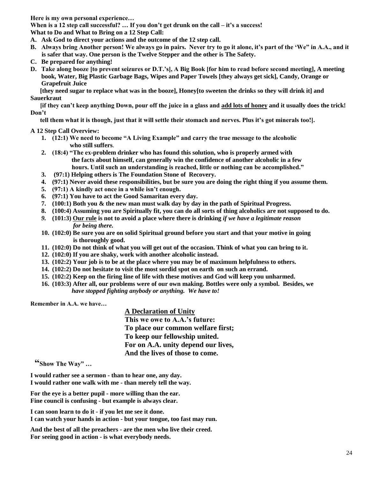**Here is my own personal experience…**

**When is a 12 step call successful? … If you don't get drunk on the call – it's a success! What to Do and What to Bring on a 12 Step Call:**

- **A. Ask God to direct your actions and the outcome of the 12 step call.**
- **B. Always bring Another person! We always go in pairs. Never try to go it alone, it's part of the 'We" in A.A., and it is safer that way. One person is the Twelve Stepper and the other is The Safety.**
- **C. Be prepared for anything!**
- **D. Take along booze [to prevent seizures or D.T.'s], A Big Book [for him to read before second meeting], A meeting book, Water, Big Plastic Garbage Bags, Wipes and Paper Towels [they always get sick], Candy, Orange or Grapefruit Juice**

 **[they need sugar to replace what was in the booze], Honey[to sweeten the drinks so they will drink it] and Sauerkraut** 

 **[if they can't keep anything Down, pour off the juice in a glass and add lots of honey and it usually does the trick! Don't** 

 **tell them what it is though, just that it will settle their stomach and nerves. Plus it's got minerals too!].**

#### **A 12 Step Call Overview:**

- **1. (12:1) We need to become "A Living Example" and carry the true message to the alcoholic who still suffers**.
- **2. (18:4) "The ex-problem drinker who has found this solution, who is properly armed with the facts about himself, can generally win the confidence of another alcoholic in a few hours. Until such an understanding is reached, little or nothing can be accomplished."**
- **3. (97:1) Helping others is The Foundation Stone of Recovery.**
- **4. (97:1) Never avoid these responsibilities, but be sure you are doing the right thing if you assume them.**
- **5. (97:1) A kindly act once in a while isn't enough.**
- **6. (97:1) You have to act the Good Samaritan every day.**
- **7. (100:1) Both you & the new man must walk day by day in the path of Spiritual Progress.**
- **8. (100:4) Assuming you are Spiritually fit, you can do all sorts of thing alcoholics are not supposed to do.**
- *9.* **(101:3) Our rule is not to avoid a place where there is drinking** *if we have a legitimate reason* *for being there.*
- **10. (102:0) Be sure you are on solid Spiritual ground before you start and that your motive in going is thoroughly good.**
- **11. (102:0) Do not think of what you will get out of the occasion. Think of what you can bring to it.**
- **12. (102:0) If you are shaky, work with another alcoholic instead.**
- **13. (102:2) Your job is to be at the place where you may be of maximum helpfulness to others.**
- **14. (102:2) Do not hesitate to visit the most sordid spot on earth on such an errand.**
- **15. (102:2) Keep on the firing line of life with these motives and God will keep you unharmed.**
- **16. (103:3) After all, our problems were of our own making. Bottles were only a symbol. Besides, we** *have stopped fighting anybody or anything. We have to!*

**Remember in A.A. we have…**

#### **A Declaration of Unity**

 **This we owe to A.A.'s future: To place our common welfare first; To keep our fellowship united. For on A.A. unity depend our lives, And the lives of those to come.**

**"Show The Way" …**

**I would rather see a sermon - than to hear one, any day. I would rather one walk with me - than merely tell the way.**

**For the eye is a better pupil - more willing than the ear. Fine council is confusing - but example is always clear.**

**I can soon learn to do it - if you let me see it done. I can watch your hands in action - but your tongue, too fast may run.**

**And the best of all the preachers - are the men who live their creed. For seeing good in action - is what everybody needs.**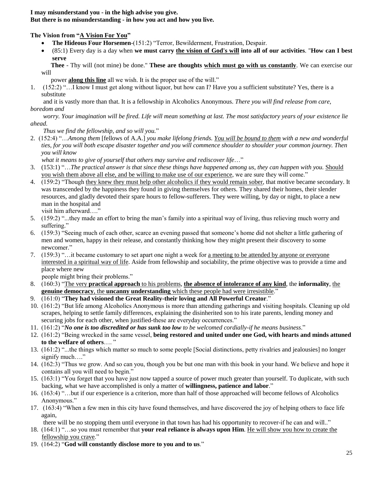#### **I may misunderstand you - in the high advise you give. But there is no misunderstanding - in how you act and how you live.**

**The Vision from "A Vision For You"**

- **The Hideous Four Horsemen**-(151:2) "Terror, Bewilderment, Frustration, Despair.
- (85:1) Every day is a day when **we must carry the vision of God's will into all of our activities**. "**How can I best serve**

 **Thee** - Thy will (not mine) be done." **These are thoughts which must go with us constantly**. We can exercise our will

power **along this line** all we wish. It is the proper use of the will."

1. (152:2) "…I know I must get along without liquor, but how can I? Have you a sufficient substitute? Yes, there is a substitute

 and it is vastly more than that. It is a fellowship in Alcoholics Anonymous. *There you will find release from care, boredom and*

 *worry. Your imagination will be fired. Life will mean something at last. The most satisfactory years of your existence lie ahead.*

 *Thus we find the fellowship, and so will you.*"

2. (152:4) "…*Among them* [fellows of A.A.] *you make lifelong friends. You will be bound to them with a new and wonderful ties, for you will both escape disaster together and you will commence shoulder to shoulder your common journey. Then you will know*

 *what it means to give of yourself that others may survive and rediscover life*…"

- 3. (153:1) "…*The practical answer is that since these things have happened among us, they can happen with you.* Should you wish them above all else, and be willing to make use of our experience, we are sure they will come."
- 4. (159:2) "Though they knew they must help other alcoholics if they would remain sober, that motive became secondary. It was transcended by the happiness they found in giving themselves for others. They shared their homes, their slender resources, and gladly devoted their spare hours to fellow-sufferers. They were willing, by day or night, to place a new man in the hospital and visit him afterward…."
- 5. (159:2) "...they made an effort to bring the man's family into a spiritual way of living, thus relieving much worry and suffering."
- 6. (159:3) "Seeing much of each other, scarce an evening passed that someone's home did not shelter a little gathering of men and women, happy in their release, and constantly thinking how they might present their discovery to some newcomer."
- 7. (159:3) "…it became customary to set apart one night a week for a meeting to be attended by anyone or everyone interested in a spiritual way of life. Aside from fellowship and sociability, the prime objective was to provide a time and place where new

people might bring their problems."

- 8. (160:3) "The very **practical approach** to his problems, **the absence of intolerance of any kind**, the **informality**, the **genuine democracy**, the **uncanny understanding** which these people had were irresistible."
- 9. (161:0) "**They had visioned the Great Reality-their loving and All Powerful Creator**."
- 10. (161:2) "But life among Alcoholics Anonymous is more than attending gatherings and visiting hospitals. Cleaning up old scrapes, helping to settle family differences, explaining the disinherited son to his irate parents, lending money and securing jobs for each other, when justified-these are everyday occurrences."
- 11. (161:2) "*No one is too discredited or has sunk too low to be welcomed cordially-if he means business*."
- 12. (161:2) "Being wrecked in the same vessel, **being restored and united under one God, with hearts and minds attuned to the welfare of others**…. "
- 13. (161:2) "...the things which matter so much to some people [Social distinctions, petty rivalries and jealousies] no longer signify much...."
- 14. (162:3) "Thus we grow. And so can you, though you be but one man with this book in your hand. We believe and hope it contains all you will need to begin."
- 15. (163:1) "You forget that you have just now tapped a source of power much greater than yourself. To duplicate, with such backing, what we have accomplished is only a matter of **willingness, patience and labor**."
- 16. (163:4) "…but if our experience is a criterion, more than half of those approached will become fellows of Alcoholics Anonymous."
- 17. (163:4) "When a few men in this city have found themselves, and have discovered the joy of helping others to face life again,

there will be no stopping them until everyone in that town has had his opportunity to recover-if he can and will.."

- 18. (164:1) "…so you must remember that **your real reliance is always upon Him**. He will show you how to create the fellowship you crave."
- 19. (164:2) "**God will constantly disclose more to you and to us**."